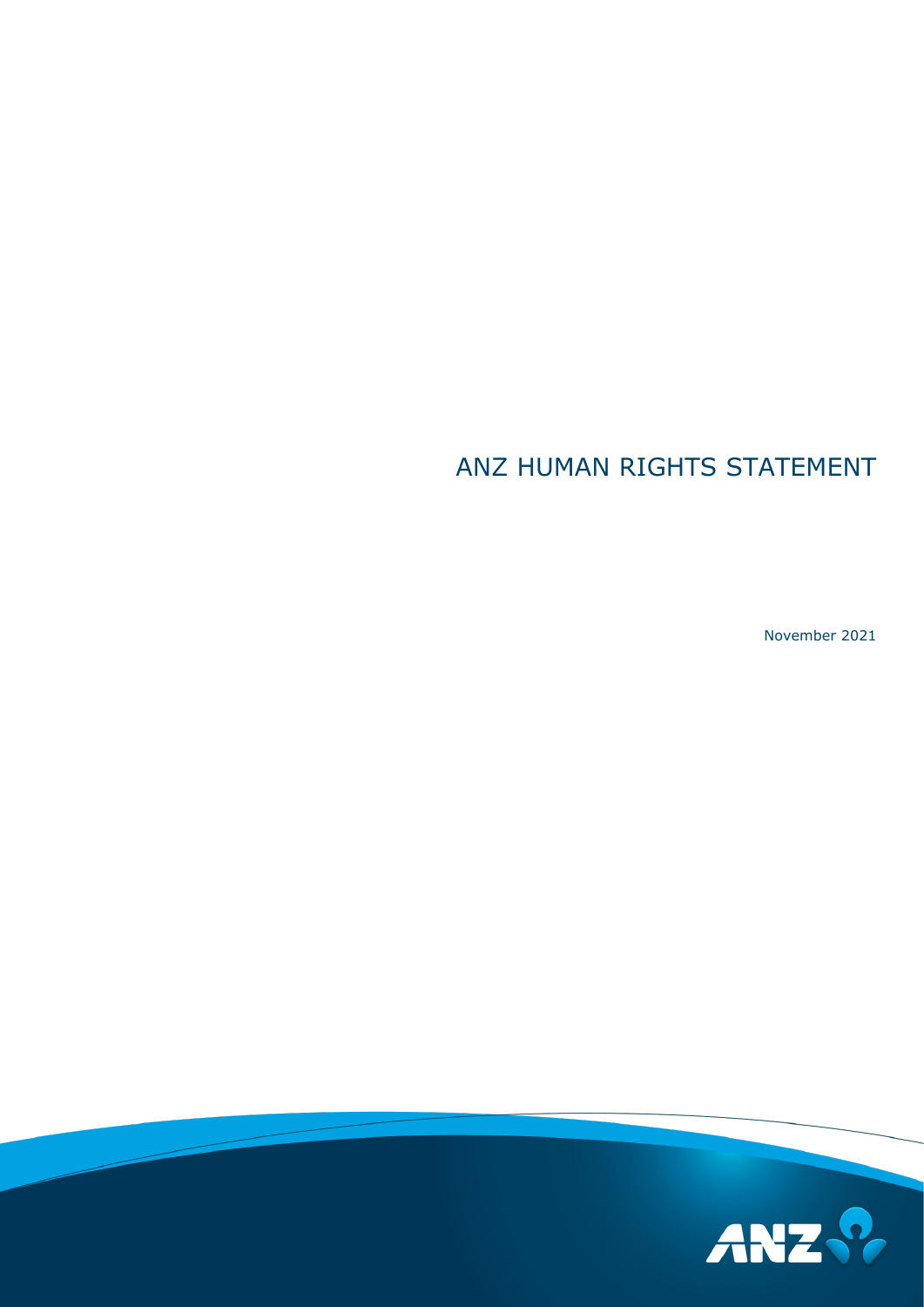# ANZ HUMAN RIGHTS STATEMENT

November 2021

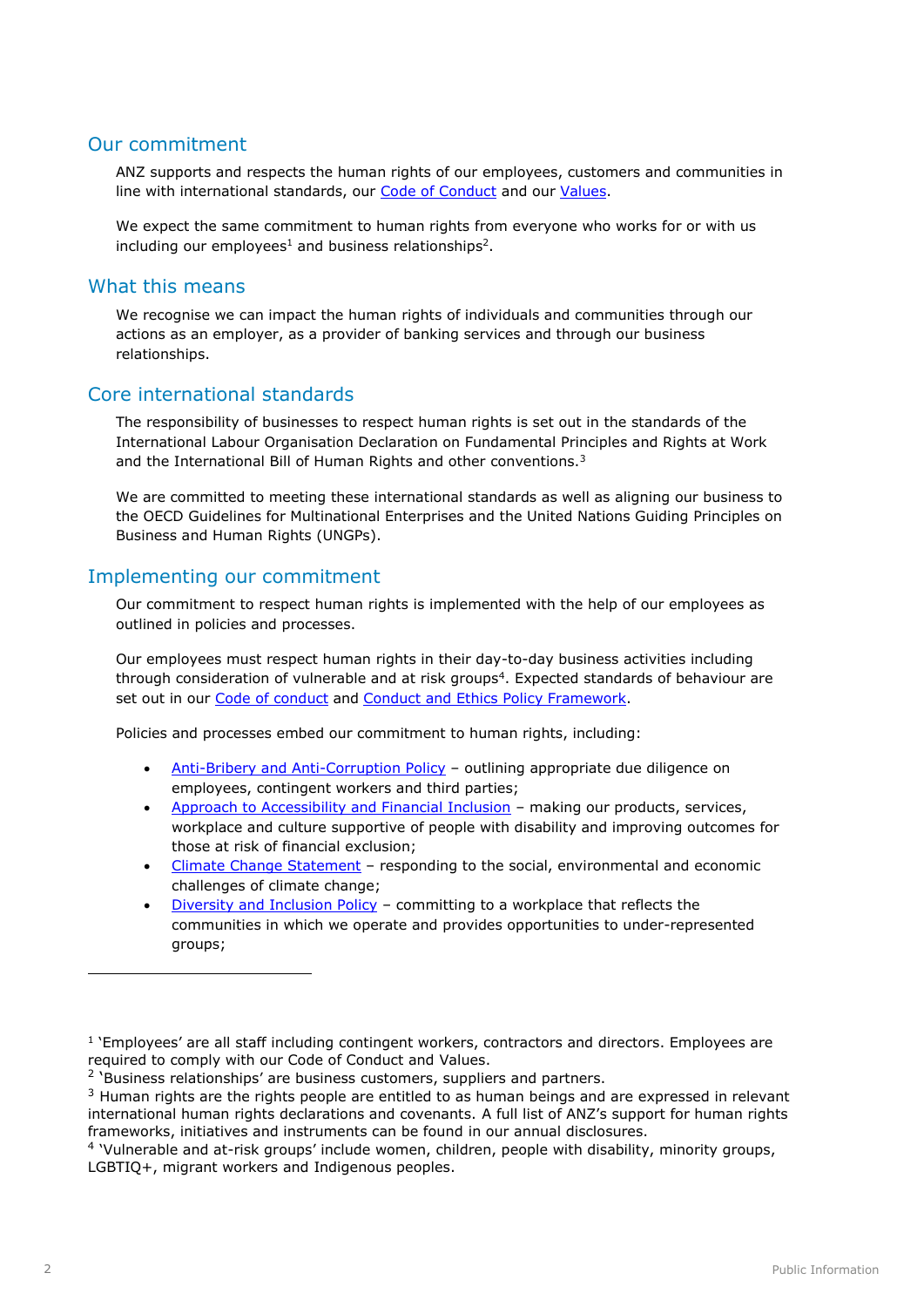#### Our commitment

ANZ supports and respects the human rights of our employees, customers and communities in line with international standards, our [Code of Conduct](https://www.anz.com.au/shareholder/centre/about/corporate-governance/) and our [Values.](https://www.anz.com.au/about-us/esg-priorities/fair-responsible-banking/culture-conduct/)

We expect the same commitment to human rights from everyone who works for or with us including our employees<sup>1</sup> and business relationships<sup>2</sup>.

#### What this means

We recognise we can impact the human rights of individuals and communities through our actions as an employer, as a provider of banking services and through our business relationships.

## Core international standards

The responsibility of businesses to respect human rights is set out in the standards of the International Labour Organisation Declaration on Fundamental Principles and Rights at Work and the International Bill of Human Rights and other conventions.<sup>3</sup>

We are committed to meeting these international standards as well as aligning our business to the OECD Guidelines for Multinational Enterprises and the United Nations Guiding Principles on Business and Human Rights (UNGPs).

#### Implementing our commitment

Our commitment to respect human rights is implemented with the help of our employees as outlined in policies and processes.

Our employees must respect human rights in their day-to-day business activities including through consideration of vulnerable and at risk groups<sup>4</sup>. Expected standards of behaviour are set out in our [Code of conduct](https://www.anz.com.au/shareholder/centre/about/corporate-governance/) and [Conduct and Ethics Policy Framework.](https://www.anz.com/shareholder/centre/about/corporate-governance)

Policies and processes embed our commitment to human rights, including:

- [Anti-Bribery and Anti-Corruption Policy](https://www.anz.com/shareholder/centre/about/corporate-governance/) outlining appropriate due diligence on employees, contingent workers and third parties;
- [Approach to Accessibility and Financial Inclusion](https://www.anz.com.au/about-us/esg/workplace-participation-diversity/accessible-workplace/) making our products, services, workplace and culture supportive of people with disability and improving outcomes for those at risk of financial exclusion;
- [Climate Change Statement](https://www.anz.com.au/about-us/esg-priorities/environmental-sustainability/climate-change/) responding to the social, environmental and economic challenges of climate change;
- [Diversity and Inclusion Policy](https://www.anz.com.au/about-us/esg/workplace-participation-diversity/) committing to a workplace that reflects the communities in which we operate and provides opportunities to under-represented groups;

-

<sup>&</sup>lt;sup>1</sup> 'Employees' are all staff including contingent workers, contractors and directors. Employees are required to comply with our Code of Conduct and Values.

<sup>&</sup>lt;sup>2</sup> 'Business relationships' are business customers, suppliers and partners.

 $3$  Human rights are the rights people are entitled to as human beings and are expressed in relevant international human rights declarations and covenants. A full list of ANZ's support for human rights frameworks, initiatives and instruments can be found in our annual disclosures.

<sup>&</sup>lt;sup>4</sup> 'Vulnerable and at-risk groups' include women, children, people with disability, minority groups, LGBTIQ+, migrant workers and Indigenous peoples.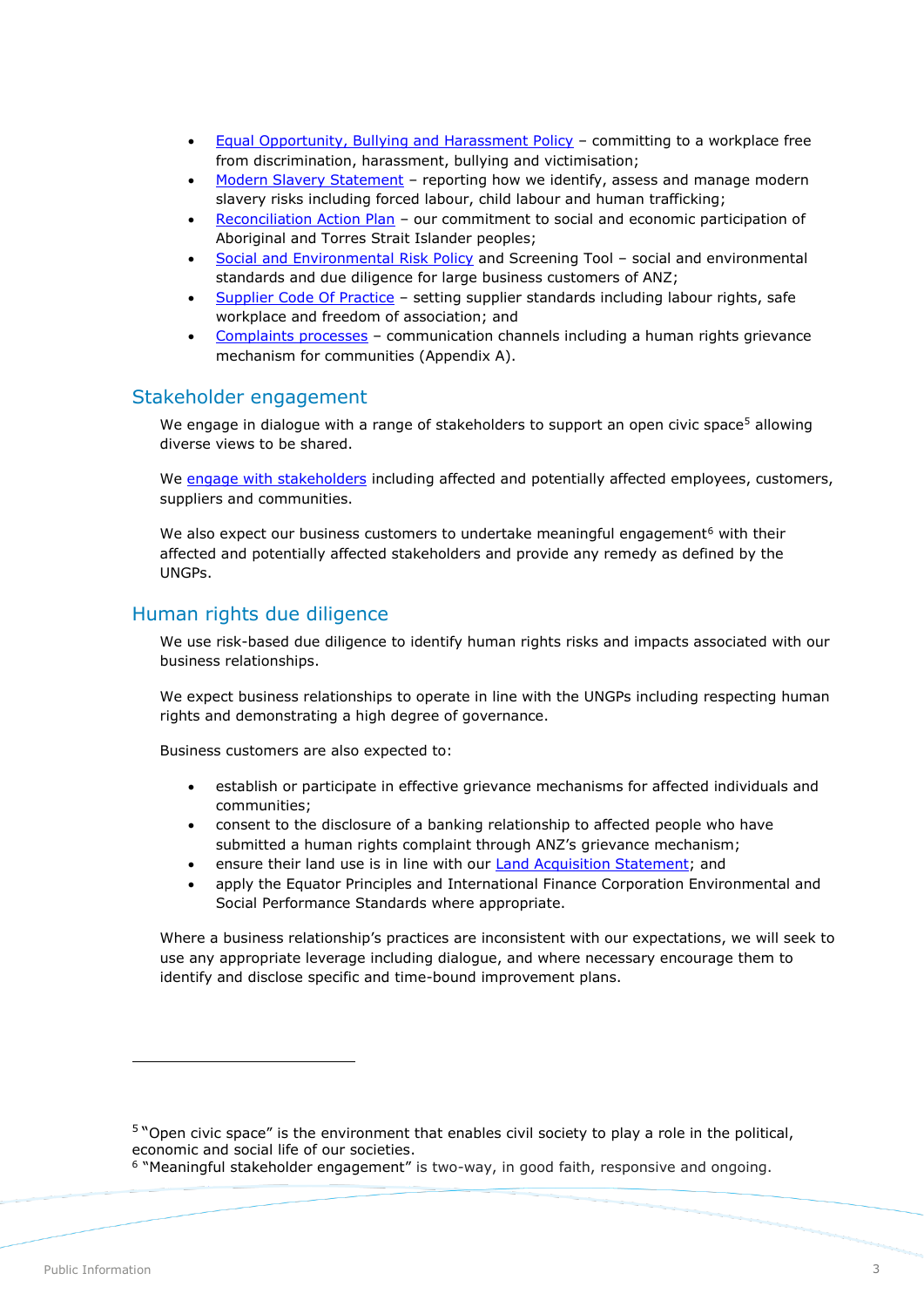- [Equal Opportunity, Bullying and Harassment Policy](https://www.anz.com/shareholder/centre/about/corporate-governance/) committing to a workplace free from discrimination, harassment, bullying and victimisation;
- [Modern Slavery Statement](https://www.anz.com.au/about-us/esg-priorities/fair-responsible-banking/human-rights/) reporting how we identify, assess and manage modern slavery risks including forced labour, child labour and human trafficking;
- [Reconciliation Action Plan](https://www.anz.com.au/about-us/esg/workplace-participation-diversity/cultural-diversity/) our commitment to social and economic participation of Aboriginal and Torres Strait Islander peoples;
- [Social and Environmental Risk Policy](https://www.anz.com.au/about-us/esg-priorities/fair-responsible-banking/responsible-business-lending/) and Screening Tool social and environmental standards and due diligence for large business customers of ANZ;
- [Supplier Code Of Practice](https://www.anz.com.au/about-us/esg-priorities/fair-responsible-banking/sustainable-procurement/) setting supplier standards including labour rights, safe workplace and freedom of association; and
- [Complaints processes](https://www.anz.com.au/support/contact-us/compliments-suggestions-complaints/) communication channels including a human rights grievance mechanism for communities (Appendix A).

#### Stakeholder engagement

We engage in dialogue with a range of stakeholders to support an open civic space<sup>5</sup> allowing diverse views to be shared.

We [engage with stakeholders](https://www.anz.com.au/about-us/esg/our-approach/stakeholder-engagement/) including affected and potentially affected employees, customers, suppliers and communities.

We also expect our business customers to undertake meaningful engagement<sup>6</sup> with their affected and potentially affected stakeholders and provide any remedy as defined by the UNGPs.

# Human rights due diligence

We use risk-based due diligence to identify human rights risks and impacts associated with our business relationships.

We expect business relationships to operate in line with the UNGPs including respecting human rights and demonstrating a high degree of governance.

Business customers are also expected to:

- establish or participate in effective grievance mechanisms for affected individuals and communities;
- consent to the disclosure of a banking relationship to affected people who have submitted a human rights complaint through ANZ's grievance mechanism;
- ensure their land use is in line with our [Land Acquisition Statement;](https://www.anz.com.au/about-us/esg-priorities/fair-responsible-banking/human-rights/) and
- apply the Equator Principles and International Finance Corporation Environmental and Social Performance Standards where appropriate.

Where a business relationship's practices are inconsistent with our expectations, we will seek to use any appropriate leverage including dialogue, and where necessary encourage them to identify and disclose specific and time-bound improvement plans.

-

<sup>&</sup>lt;sup>5</sup> "Open civic space" is the environment that enables civil society to play a role in the political, economic and social life of our societies.

<sup>6</sup> "Meaningful stakeholder engagement" is two-way, in good faith, responsive and ongoing.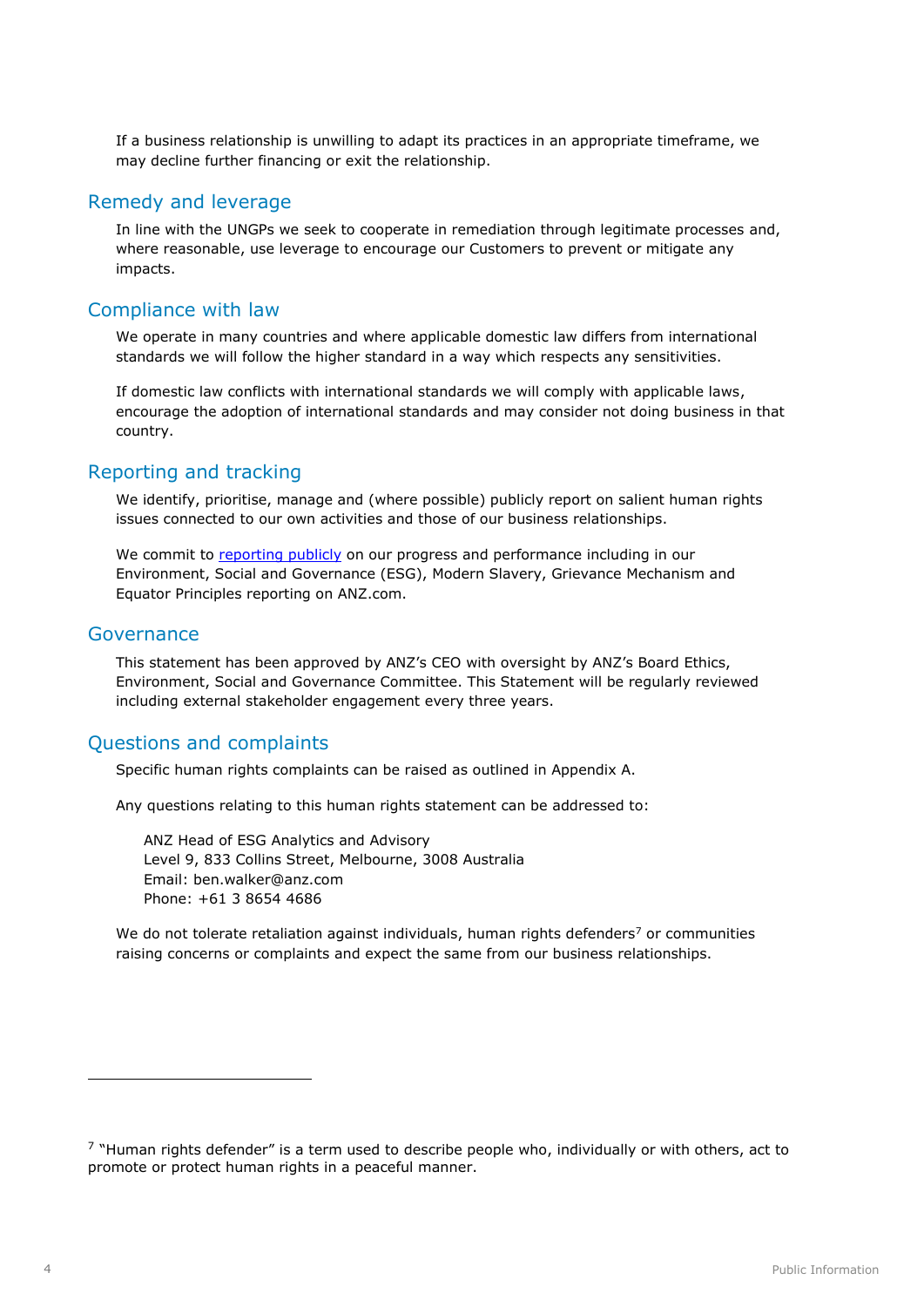If a business relationship is unwilling to adapt its practices in an appropriate timeframe, we may decline further financing or exit the relationship.

#### Remedy and leverage

In line with the UNGPs we seek to cooperate in remediation through legitimate processes and, where reasonable, use leverage to encourage our Customers to prevent or mitigate any impacts.

## Compliance with law

We operate in many countries and where applicable domestic law differs from international standards we will follow the higher standard in a way which respects any sensitivities.

If domestic law conflicts with international standards we will comply with applicable laws, encourage the adoption of international standards and may consider not doing business in that country.

#### Reporting and tracking

We identify, prioritise, manage and (where possible) publicly report on salient human rights issues connected to our own activities and those of our business relationships.

We commit to [reporting publicly](https://www.anz.com.au/about-us/esg/reporting/commitments-frameworks/) on our progress and performance including in our Environment, Social and Governance (ESG), Modern Slavery, Grievance Mechanism and Equator Principles reporting on ANZ.com.

#### Governance

This statement has been approved by ANZ's CEO with oversight by ANZ's Board Ethics, Environment, Social and Governance Committee. This Statement will be regularly reviewed including external stakeholder engagement every three years.

# Questions and complaints

Specific human rights complaints can be raised as outlined in Appendix A.

Any questions relating to this human rights statement can be addressed to:

ANZ Head of ESG Analytics and Advisory Level 9, 833 Collins Street, Melbourne, 3008 Australia Email: ben.walker@anz.com Phone: +61 3 8654 4686

We do not tolerate retaliation against individuals, human rights defenders<sup>7</sup> or communities raising concerns or complaints and expect the same from our business relationships.

-

 $\frac{7}{1}$  "Human rights defender" is a term used to describe people who, individually or with others, act to promote or protect human rights in a peaceful manner.